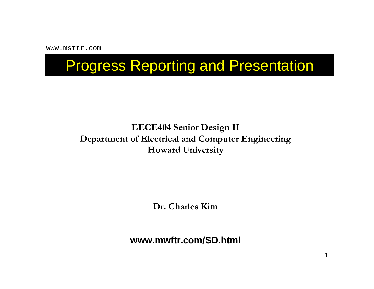www.msftr.com

# Progress Reporting and Presentation

#### **EECE404 Senior Design II Department of Electrical and Computer Engineering Howard University**

**Dr. Charles Kim**

**www.mwftr.com/SD.html**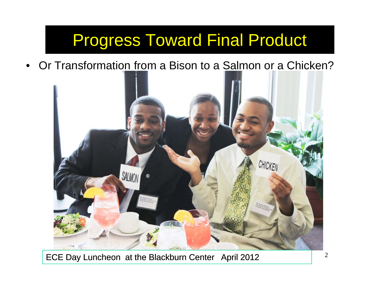# Progress Toward Final Product

 $\bullet$ Or Transformation from a Bison to a Salmon or a Chicken?



ECE Day Luncheon at the Blackburn Center April 2012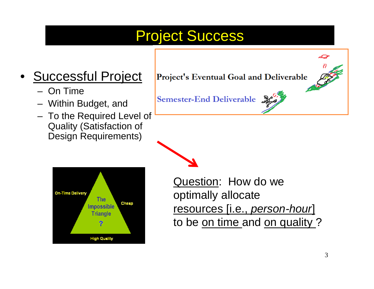## Project Success

#### •Successful Project

- On Time
- Within Budget, and
- To the Required Level of Quality (Satisfaction of Design Requirements)



Project's Eventual Goal and Deliverable

Semester-End Deliverable

Question: How do we optimally allocate resources [i.e., *person-hour*] to be on time and on quality ?

ممتصد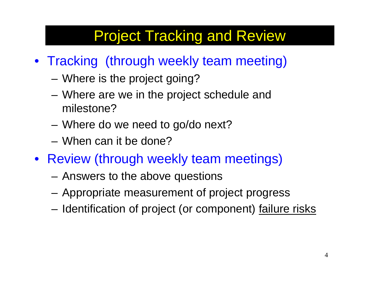# Project Tracking and Review

- Tracking (through weekly team meeting)
	- –Where is the project going?
	- – Where are we in the project schedule and milestone?
	- Where do we need to go/do next?
	- When can it be done?
- Review (through weekly team meetings)
	- Answers to the above questions
	- Appropriate measurement of project progress
	- Identification of project (or component) failure risks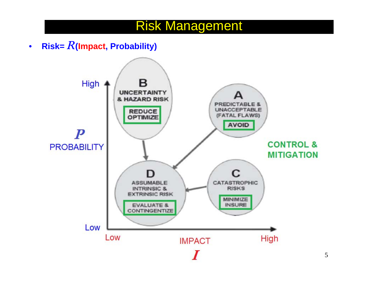### Risk Management

•**Risk=** *R***(Impact, Probability)**

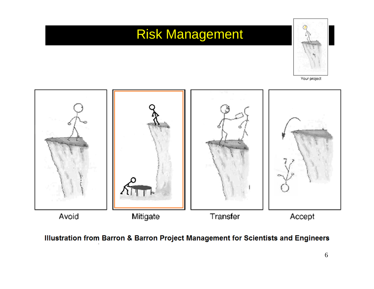### Risk Management



Your project



Illustration from Barron & Barron Project Management for Scientists and Engineers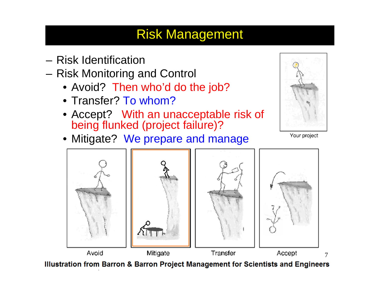### Risk Management

- Risk Identification
- Risk Monitoring and Control
	- Avoid? Then who'd do the job?
	- Transfer? To whom?
	- Accept? With an unacceptable risk of being flunked (project failure)?
	- Mitigate? We prepare and manage



Your project



Illustration from Barron & Barron Project Management for Scientists and Engineers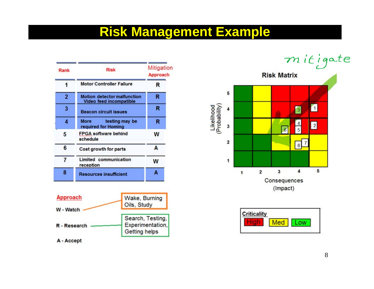### **Risk Management Example**

| Rank           | <b>Risk</b>                                                          | Mitigation<br>Approach |  |  |  |
|----------------|----------------------------------------------------------------------|------------------------|--|--|--|
|                | <b>Motor Controller Failure</b>                                      | R                      |  |  |  |
| $\overline{2}$ | <b>Motion detector malfunction</b><br><b>Video feed incompatible</b> | R                      |  |  |  |
| 3              | <b>Beacon circuit issues</b>                                         | R                      |  |  |  |
| 4              | <b>More</b><br>testing may be<br>required for Homing                 | R                      |  |  |  |
| 5              | <b>FPGA software behind</b><br>schedule                              | W                      |  |  |  |
| 6              | Cost growth for parts                                                | A                      |  |  |  |
| 7              | <b>Limited communication</b><br>reception                            | w                      |  |  |  |
| 8              | <b>Resources insufficient</b>                                        | A                      |  |  |  |



# mitigate



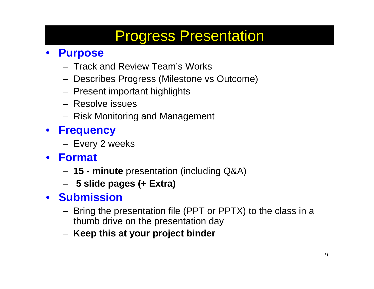# Progress Presentation

### • **Purpose**

- Track and Review Team's Works
- Describes Progress (Milestone vs Outcome)
- Present important highlights
- Resolve issues
- Risk Monitoring and Management
- • **Frequency**
	- Every 2 weeks
- $\bullet$  **Format**
	- **15 - minute** presentation (including Q&A)
	- **5 slide pages (+ Extra)**
- **Submission**
	- Bring the presentation file (PPT or PPTX) to the class in a thumb drive on the presentation day
	- **Keep this at your project binder**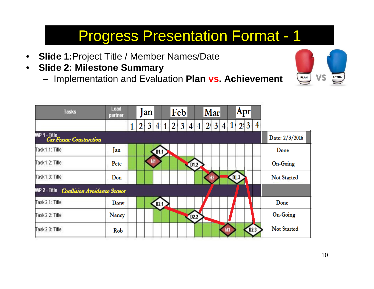# Progress Presentation Format - 1

- $\bullet$ **Slide 1:**Project Title / Member Names/Date
- • **Slide 2: Milestone Summary** 
	- –Implementation and Evaluation **Plan vs. Achievement**



| <b>Tasks</b>                                       | Lead<br>partner |       | <b>a</b> n |      |  | Feb     |      |        |            | Mar |    | Apr    |      |   |                    |
|----------------------------------------------------|-----------------|-------|------------|------|--|---------|------|--------|------------|-----|----|--------|------|---|--------------------|
|                                                    |                 | 2 3 4 |            |      |  | 1 2 3 4 |      |        | $\sqrt{2}$ | 3   | 4  | 21     | (3)  | 4 |                    |
| <b>WP 1 - Title<br/>Car France Construction</b>    |                 |       |            |      |  |         |      |        |            |     |    |        |      |   | Date: 2/3/2016     |
| Task 1.1: Title                                    | Jan             |       |            | D1.1 |  |         |      |        |            |     |    |        |      |   | Done               |
| Task1.2: Title                                     | Pete            |       | <b>M1</b>  |      |  |         |      | [01.2] |            |     |    |        |      |   | On-Going           |
| Task 1.3: Title                                    | Don             |       |            |      |  |         |      |        |            |     |    | [01.3] |      |   | Not Started        |
| WP 2 - Title<br><b>Coallision Avoidance Sensor</b> |                 |       |            |      |  |         |      |        |            |     |    |        |      |   |                    |
| Task 2.1: Title                                    | Drew            |       |            | D2.1 |  |         |      |        |            |     |    |        |      |   | Done               |
| Task 2.2: Title                                    | Nancy           |       |            |      |  |         | D2.2 |        |            |     |    |        |      |   | On-Going           |
| Task 2.3: Title                                    | Rob             |       |            |      |  |         |      |        |            |     | M3 |        | D2.3 |   | <b>Not Started</b> |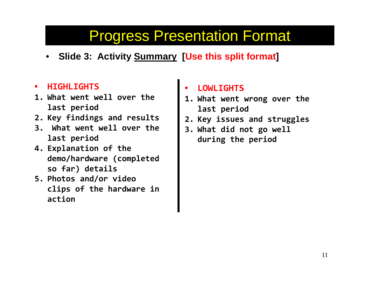## Progress Presentation Format

•**Slide 3: Activity Summary [Use this split format ]**

#### •**HIGHLIGHTS**

- **1. What went well over the last period**
- **2. Key findings and results**
- **3. What went well over the last period**
- **4. Explanation of the demo/hardware (completed so far) details**
- **5. Photos and/or video clips of the hardware in action**

#### •**LOWLIGHTS**

- **1. What went wrong over the last period**
- **2. Key issues and struggles**
- **3. What did not go well during the period**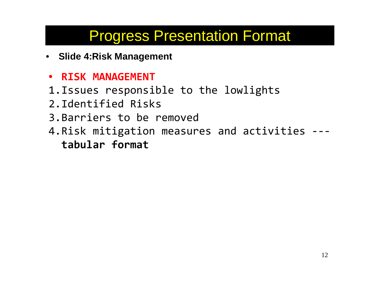# Progress Presentation Format

- **Slide 4:Risk Management**
- **RISK MANAGEMENT**
- 1.Issues responsible to the lowlights
- 2.Identified Risks
- 3.Barriers to be removed
- 4.Risk mitigation measures and activities -- **tabular format**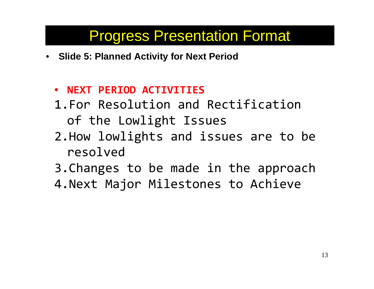### Progress Presentation Format

- **Slide 5: Planned Activity for Next Period**
	- **NEXT PERIOD ACTIVITIES**
	- 1.For Resolution and Rectification of the Lowlight Issues
	- 2.How lowlights and issues are to be resolved
	- 3.Changes to be made in the approach
	- 4.Next Major Milestones to Achieve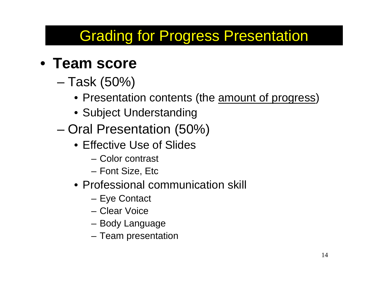# Grading for Progress Presentation

### • **Team score**

- – Task (50%)
	- Presentation contents (the <u>amount of progress</u>)
	- Subject Understanding
- Oral Presentation (50%)
	- Effective Use of Slides
		- Color contrast
		- Font Size, Etc
	- Professional communication skill
		- Eye Contact
		- Clear Voice
		- Body Language
		- Team presentation